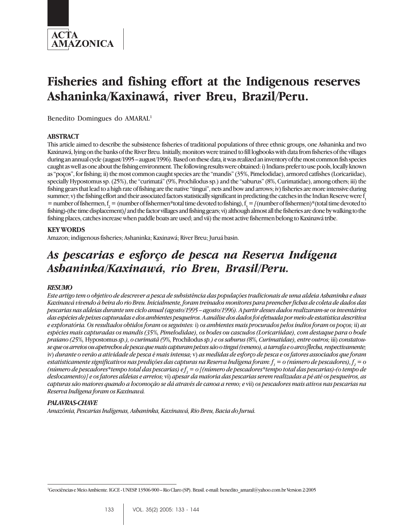

### **Fisheries and fishing effort at the Indigenous reserves Ashaninka/Kaxinawá, river Breu, Brazil/Peru.**

Benedito Domingues do AMARAL1

#### **ABSTRACT**

This article aimed to describe the subsistence fisheries of traditional populations of three ethnic groups, one Ashaninka and two Kaxinawá, lying on the banks of the River Breu. Initially, monitors were trained to fill logbooks with data from fisheries of the villages during an annual cycle (august/1995 – august/1996). Based on these data, it was realized an inventory of the most common fish species caught as well as one about the fishing environment. The following results were obtained: i) Indians prefer to use pools, locally known as "poços", for fishing; ii) the most common caught species are the "mandis" (35%, Pimelodidae), armored catfishes (Loricariidae), specially Hypostomus sp. (25%), the "curimatá" (9%, Prochilodus sp.) and the "saburus" (8%, Curimatidae), among others; iii) the fishing gears that lead to a high rate of fishing are the native "tingui", nets and bow and arrows; iv) fisheries are more intensive during summer; v) the fishing effort and their associated factors statistically significant in predicting the catches in the Indian Reserve were  $f_i$  $=$  number of fishermen,  $f_2 =$  (number of fishermen\*total time devoted to fishing),  $f_3 =$  *[*(number of fishermen)\*(total time devoted to fishing)-(the time displacement)*]* and the factor villages and fishing gears; vi) although almost all the fisheries are done by walking to the fishing places, catches increase when paddle boats are used; and vii) the most active fishermen belong to Kaxinawá tribe.

#### **KEY WORDS**

Amazon; indigenous fisheries; Ashaninka; Kaxinawá; River Breu; Juruá basin.

### *As pescarias e esforço de pesca na Reserva Indígena Ashaninka/Kaxinawá, rio Breu, Brasil/Peru.*

#### *RESUMO*

*Este artigo tem o objetivo de descrever a pesca de subsistência das populações tradicionais de uma aldeia Ashaninka e duas Kaxinawá vivendo à beira do rio Breu. Inicialmente, foram treinados monitores para preencher fichas de coleta de dados das pescarias nas aldeias durante um ciclo anual (agosto/1995 – agosto/1996). A partir desses dados realizaram-se os inventários das espécies de peixes capturadas e dos ambientes pesqueiros. A análise dos dados foi efetuada por meio de estatística descritiva e exploratória. Os resultados obtidos foram os seguintes:* i) *os ambientes mais procurados pelos índios foram os poços;* ii) *as espécies mais capturadas os mandis (35%, Pimelodidae), os bodes ou cascudos (Loricariidae), com destaque para o bode praiano (25%,* Hypostomus *sp.), o curimatã (9%,* Prochilodus *sp.) e os saburus (8%, Curimatidae), entre outros;* iii) *constatouse que os arreios ou apetrechos de pesca que mais capturam peixes são o tingui (veneno), a tarrafa e o arco/flecha, respectivamente;* iv) *durante o verão a atividade de pesca é mais intensa;* v) *as medidas de esforço de pesca e os fatores associados que foram* estatisticamente significativos nas predições das capturas na Reserva Indígena foram: f<sub>1</sub> = 0 (número de pescadores), f<sub>2</sub> = 0 (número de pescadores\*tempo total das pescarias) e $f_{\rm 3}$  = o [(número de pescadores\*tempo total das pescarias)-(o tempo de *deslocamento)] e os fatores aldeias e arreios;* vi) *apesar da maioria das pescarias serem realizadas a pé até os pesqueiros, as capturas são maiores quando a locomoção se dá através de canoa a remo; e* vii) *os pescadores mais ativos nas pescarias na Reserva Indígena foram os Kaxinawá.*

#### *PALAVRAS-CHAVE*

*Amazônia, Pescarias Indígenas, Ashaninka, Kaxinawá, Rio Breu, Bacia do Juruá.*

<sup>1</sup> Geociências e Meio Ambiente. IGCE - UNESP. 13506-900 – Rio Claro (SP). Brasil. e-mail: benedito\_amaral@yahoo.com.br Version 2/2005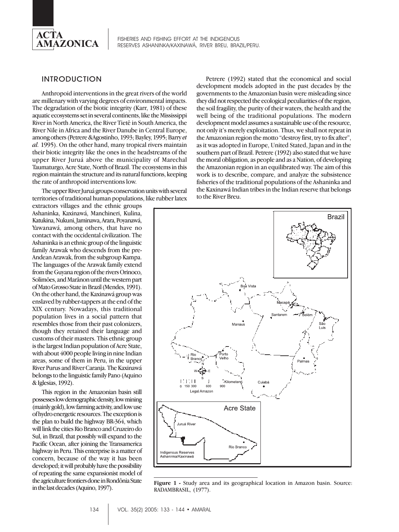

#### INTRODUCTION

Anthropoid interventions in the great rivers of the world are millenary with varying degrees of environmental impacts. The degradation of the biotic integrity (Karr, 1981) of these aquatic ecosystems set in several continents, like the Mississippi River in North America, the River Tietê in South America, the River Nile in Africa and the River Danube in Central Europe, among others (Petrere &Agostinho, 1993; Bayley, 1995; Barry *et al.* 1995). On the other hand, many tropical rivers maintain their biotic integrity like the ones in the headstreams of the upper River Juruá above the municipality of Marechal Taumaturgo, Acre State, North of Brazil. The ecosystems in this region maintain the structure and its natural functions, keeping the rate of anthropoid interventions low.

The upper River Juruá groups conservation units with several territories of traditional human populations, like rubber latex

extractors villages and the ethnic groups Ashaninka, Kaxinawá, Manchineri, Kulina, Katukina, Nukuni, Jaminawa, Arara, Poyanawá, Yawanawá, among others, that have no contact with the occidental civilization. The Ashaninka is an ethnic group of the linguistic family Arawak who descends from the pre-Andean Arawak, from the subgroup Kampa. The languages of the Arawak family extend from the Guyana region of the rivers Orinoco, Solimões, and Marãnon until the western part of Mato Grosso State in Brazil (Mendes, 1991). On the other hand, the Kaxinawá group was enslaved by rubber-tappers at the end of the XIX century. Nowadays, this traditional population lives in a social pattern that resembles those from their past colonizers, though they retained their language and customs of their masters. This ethnic group is the largest Indian population of Acre State, with about 4000 people living in nine Indian areas, some of them in Peru, in the upper River Purus and River Caranja. The Kaxinawá belongs to the linguistic family Pano (Aquino & Iglesias, 1992).

This region in the Amazonian basin still possesses low demographic density, low mining (mainly gold), low farming activity, and low use of hydro energetic resources. The exception is the plan to build the highway BR-364, which will link the cities Rio Branco and Cruzeiro do Sul, in Brazil, that possibly will expand to the Pacific Ocean, after joining the Transamerica highway in Peru. This enterprise is a matter of concern, because of the way it has been developed; it will probably have the possibility of repeating the same expansionist model of the agriculture frontiers done in Rondônia State in the last decades (Aquino, 1997).

Petrere (1992) stated that the economical and social development models adopted in the past decades by the governments to the Amazonian basin were misleading since they did not respected the ecological peculiarities of the region, the soil fragility, the purity of their waters, the health and the well being of the traditional populations. The modern development model assumes a sustainable use of the resource, not only it's merely exploitation. Thus, we shall not repeat in the Amazonian region the motto "destroy first, try to fix after", as it was adopted in Europe, United Stated, Japan and in the southern part of Brazil. Petrere (1992) also stated that we have the moral obligation, as people and as a Nation, of developing the Amazonian region in an equilibrated way. The aim of this work is to describe, compare, and analyze the subsistence fisheries of the traditional populations of the Ashaninka and the Kaxinawá Indian tribes in the Indian reserve that belongs to the River Breu.



**Figure 1 -** Study area and its geographical location in Amazon basin. Source: RADAMBRASIL, (1977).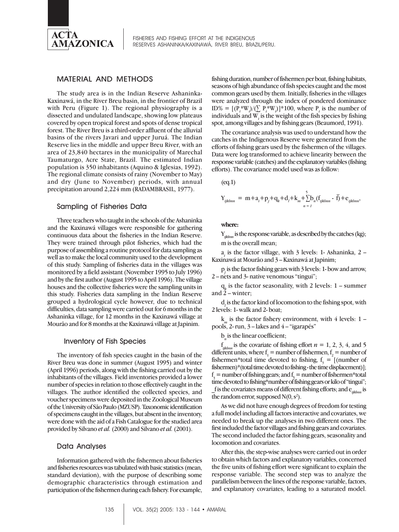

FISHERIES AND FISHING EFFORT AT THE INDIGENOUS RESERVES ASHANINKA/KAXINAWÁ, RIVER BREU, BRAZIL/PERU.

#### MATERIAL AND METHODS

The study area is in the Indian Reserve Ashaninka-Kaxinawá, in the River Breu basin, in the frontier of Brazil with Peru (Figure 1). The regional physiography is a dissected and undulated landscape, showing low plateaus covered by open tropical forest and spots of dense tropical forest. The River Breu is a third-order affluent of the alluvial basins of the rivers Javari and upper Juruá. The Indian Reserve lies in the middle and upper Breu River, with an area of 23,840 hectares in the municipality of Marechal Taumaturgo, Acre State, Brazil. The estimated Indian population is 350 inhabitants (Aquino & Iglesias, 1992). The regional climate consists of rainy (November to May) and dry (June to November) periods, with annual precipitation around 2,224 mm (RADAMBRASIL, 1977).

#### Sampling of Fisheries Data

Three teachers who taught in the schools of the Ashaninka and the Kaxinawá villages were responsible for gathering continuous data about the fisheries in the Indian Reserve. They were trained through pilot fisheries, which had the purpose of assembling a routine protocol for data sampling as well as to make the local community used to the development of this study. Sampling of fisheries data in the villages was monitored by a field assistant (November 1995 to July 1996) and by the first author (August 1995 to April 1996). The village houses and the collective fisheries were the sampling units in this study. Fisheries data sampling in the Indian Reserve grouped a hydrological cycle however, due to technical difficulties, data sampling were carried out for 6 months in the Ashaninka village, for 12 months in the Kaxinawá village at Mourão and for 8 months at the Kaxinawá village at Japinim.

#### Inventory of Fish Species

The inventory of fish species caught in the basin of the River Breu was done in summer (August 1995) and winter (April 1996) periods, along with the fishing carried out by the inhabitants of the villages. Field inventories provided a lower number of species in relation to those effectively caught in the villages. The author identified the collected species, and voucher specimens were deposited in the Zoological Museum of the University of São Paulo (MZUSP). Taxonomic identification of specimens caught in the villages, but absent in the inventory, were done with the aid of a Fish Catalogue for the studied area provided by Silvano *et al.* (2000) and Silvano *et al.* (2001).

#### Data Analyses

Information gathered with the fishermen about fisheries and fisheries resources was tabulated with basic statistics (mean, standard deviation), with the purpose of describing some demographic characteristics through estimation and participation of the fishermen during each fishery. For example,

fishing duration, number of fishermen per boat, fishing habitats, seasons of high abundance of fish species caught and the most common gears used by them. Initially, fisheries in the villages were analyzed through the index of pondered dominance ID% =  $[(P_i^*W_i)/(\sum P_i^*W_i)]^*100$ , where  $P_i$  is the number of individuals and  $\mathrm{W}_i$  is the weight of the fish species by fishing spot, among villages and by fishing gears (Beaumord, 1991).

The covariance analysis was used to understand how the catches in the Indigenous Reserve were generated from the efforts of fishing gears used by the fishermen of the villages. Data were log transformed to achieve linearity between the response variable (catches) and the explanatory variables (fishing efforts). The covariance model used was as follow:

(eq.1)

$$
Y_{ijklmn} = m + a_i + p_j + q_k + d_l + k_m + \sum_{n=1}^{5} b_n (f_{ijklmn} - \overline{f}) + e_{ijklmn},
$$

#### **where:**

Y*ijklmn* is the response variable, as described by the catches (kg); m is the overall mean;

a*i* is the factor village, with 3 levels: 1- Ashaninka, 2 – Kaxinawá at Mourão and 3 – Kaxinawá at Japinim;

p*j* is the factor fishing gears with 3 levels: 1- bow and arrow, 2 – nets and 3- native venomous "tingui";

 $q_k$  is the factor seasonality, with 2 levels:  $1$  – summer and  $\ddot{2}$  – winter;

d*l* is the factor kind of locomotion to the fishing spot, with 2 levels: 1- walk and 2- boat;

k*m* is the factor fishery environment, with 4 levels: 1 – pools, 2- run, 3 – lakes and 4 – "igarapés"

**b**<sub>n</sub> is the linear coefficient;

 $f_{ijklmn}$  is the covariate of fishing effort  $n = 1, 2, 3, 4$ , and 5 different units, where  $f_1$  = number of fishermen,  $f_2$  = number of fishermen\*total time devoted to fishing,  $f_3 = [(number of$ fishermen)\*(total time devoted to fishing - the time displacement)];  $f_4$  = number of fishing gears; and  $f_5$  = number of fishermen\*total time devoted to fishing\*number of fishing gears or kilo of "tingui"; f is the covariates means of different fishing efforts; and e<sub>ijklmn</sub> is the random error, supposed  $N(0, s^2)$ .

As we did not have enough degrees of freedom for testing a full model including all factors interactive and covariates, we needed to break up the analyses in two different ones. The first included the factor villages and fishing gears and covariates. The second included the factor fishing gears, seasonality and locomotion and covariates.

After this, the step-wise analyses were carried out in order to obtain which factors and explanatory variables, concerned the five units of fishing effort were significant to explain the response variable. The second step was to analyze the parallelism between the lines of the response variable, factors, and explanatory covariates, leading to a saturated model.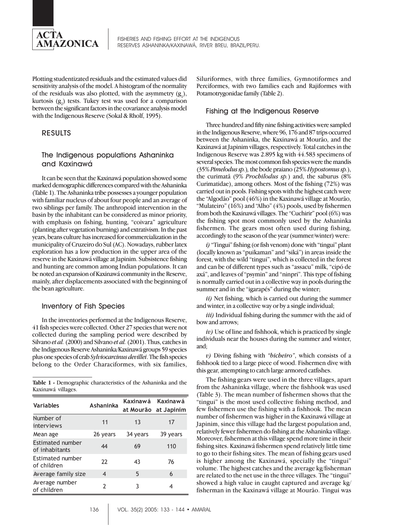

Plotting studentizated residuals and the estimated values did sensitivity analysis of the model. A histogram of the normality of the residuals was also plotted, with the asymmetry  $(g_1)$ , kurtosis  $(g_2)$  tests. Tukey test was used for a comparison between the significant factors in the covariance analysis model with the Indigenous Reserve (Sokal & Rholf, 1995).

#### RESULTS

#### The Indigenous populations Ashaninka and Kaxinawá

It can be seen that the Kaxinawá population showed some marked demographic differences compared with the Ashaninka (Table 1). The Ashaninka tribe possesses a younger population with familiar nucleus of about four people and an average of two siblings per family. The anthropoid intervention in the basin by the inhabitant can be considered as minor priority, with emphasis on fishing, hunting, "coivara" agriculture (planting after vegetation burning) and extrativism. In the past years, beans culture has increased for commercialization in the municipality of Cruzeiro do Sul (AC). Nowadays, rubber latex exploration has a low production in the upper area of the reserve in the Kaxinawá village at Japinim. Subsistence fishing and hunting are common among Indian populations. It can be noted an expansion of Kaxinawá community in the Reserve, mainly, after displacements associated with the beginning of the bean agriculture.

#### Inventory of Fish Species

In the inventories performed at the Indigenous Reserve, 41 fish species were collected. Other 27 species that were not collected during the sampling period were described by Silvano *et al.* (2000) and Silvano *et al.* (2001). Thus, catches in the Indigenous Reserve Ashaninka/Kaxinawá groups 59 species plus one species of crab *Sylviocarcinus devillei*. The fish species belong to the Order Characiformes, with six families,

**Table 1 -** Demographic characteristics of the Ashaninka and the Kaxinawá villages.

| <b>Variables</b>                   | Ashaninka |                | Kaxinawá Kaxinawá<br>at Mourão at Japinim |
|------------------------------------|-----------|----------------|-------------------------------------------|
| Number of<br>interviews            | 11        | 1 <sub>3</sub> | 17                                        |
| Mean age                           | 26 years  | 34 years       | 39 years                                  |
| Estimated number<br>of inhabitants | 44        | 69             | 110                                       |
| Estimated number<br>of children    | 22        | 43             | 76                                        |
| Average family size                | 4         | 5              | 6                                         |
| Average number<br>of children      | 2         | 3              |                                           |

Siluriformes, with three families, Gymnotiformes and Perciformes, with two families each and Rajiformes with Potamotrygonidae family (Table 2).

#### Fishing at the Indigenous Reserve

Three hundred and fifty nine fishing activities were sampled in the Indigenous Reserve, where 96, 176 and 87 trips occurred between the Ashaninka, the Kaxinawá at Mourão, and the Kaxinawá at Japinim villages, respectively. Total catches in the Indigenous Reserve was 2.895 kg with 44.583 specimens of several species. The most common fish species were the mandis (35% *Pimelodus sp.*)*,* the bode praiano (25% *Hypostomus sp.*), the curimatã (9% *Prochilodus sp.*) and, the saburus (8% Curimatidae), among others. Most of the fishing (72%) was carried out in pools. Fishing spots with the highest catch were the "Algodão" pool (46%) in the Kaxinawá village at Mourão, "Mulateiro" (16%) and "Alho" (4%) pools, used by fishermen from both the Kaxinawá villages. The "Cuchirir" pool (6%) was the fishing spot most commonly used by the Ashaninka fishermen. The gears most often used during fishing, accordingly to the season of the year (summer/winter) were:

*i)* "Tingui" fishing (or fish venom) done with "tingui" plant (locally known as "puikaman" and "siká") in areas inside the forest, with the wild "tingui", which is collected in the forest and can be of different types such as "assacu" milk, "cipó de axá", and leaves of "psymin" and "ninpri". This type of fishing is normally carried out in a collective way in pools during the summer and in the "igarapés" during the winter;

*ii)* Net fishing, which is carried out during the summer and winter, in a collective way or by a single individual;

*iii)* Individual fishing during the summer with the aid of bow and arrows;

*iv)* Use of line and fishhook, which is practiced by single individuals near the houses during the summer and winter, and;

*v)* Diving fishing with *"bicheiro"*, which consists of a fishhook tied to a large piece of wood. Fishermen dive with this gear, attempting to catch large armored catfishes.

The fishing gears were used in the three villages, apart from the Ashaninka village, where the fishhook was used (Table 3). The mean number of fishermen shows that the "tingui" is the most used collective fishing method, and few fishermen use the fishing with a fishhook. The mean number of fishermen was higher in the Kaxinawá village at Japinim, since this village had the largest population and, relatively fewer fishermen do fishing at the Ashaninka village. Moreover, fishermen at this village spend more time in their fishing sites. Kaxinawá fishermen spend relatively little time to go to their fishing sites. The mean of fishing gears used is higher among the Kaxinawá, specially the "tingui" volume. The highest catches and the average kg/fisherman are related to the net use in the three villages. The "tingui" showed a high value in caught captured and average kg/ fisherman in the Kaxinawá village at Mourão. Tingui was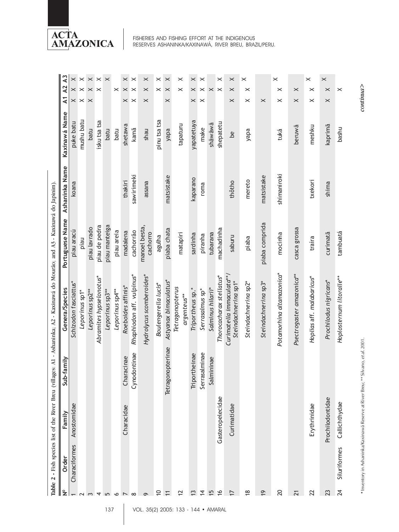| l<br>ׇ֚֘<br>I<br>j<br>ļ |
|-------------------------|
|                         |
| I<br>ì                  |
|                         |
|                         |
|                         |
|                         |
|                         |
|                         |
|                         |
| ı                       |
| I                       |
| ı                       |
| <b>Lable</b><br>I       |

**ACTA<br>AMAZONICA** 

| $\mathbf{z}$            | $\times$              | $\boldsymbol{\times}$ | $\times$ $\times$ |                         | $\times$        |                 | $\boldsymbol{\times}$ | $\boldsymbol{\times}$     | $\times$                  | $\times$             | $\times$                 | ×                              | $\boldsymbol{\times}$ | $\times$        |                   | $\times$                 | $\times$                                          | ×                    |                       | $\times$                  |                           | $\times$                  | $\times$               |                          |
|-------------------------|-----------------------|-----------------------|-------------------|-------------------------|-----------------|-----------------|-----------------------|---------------------------|---------------------------|----------------------|--------------------------|--------------------------------|-----------------------|-----------------|-------------------|--------------------------|---------------------------------------------------|----------------------|-----------------------|---------------------------|---------------------------|---------------------------|------------------------|--------------------------|
| $\overline{A}$          | $\times$              | $\times$              | $\times$          | $\times$                |                 | $\times$        | $\times$              | $\times$                  | $\times$                  | $\times$             | $\times$                 | $\times$                       | $\times$              | $\times$        | $\times$          | $\times$                 | $\times$                                          | $\times$             |                       | $\times$                  | $\times$                  | $\times$                  | $\boldsymbol{\times}$  | ×                        |
| $\overline{\mathsf{A}}$ | $\times$              | $\boldsymbol{\times}$ | $\times$          |                         |                 |                 | $\times$              | $\times$                  | $\boldsymbol{\times}$     |                      | $\times$                 |                                | $\times$              | $\times$        |                   |                          | $\times$                                          | $\times$             | $\boldsymbol{\times}$ | $\times$                  | $\times$                  | $\times$                  | $\times$               |                          |
| Kaxinawá Name           | puke batu             | mushu batu            | batu              | isku tsa tsa            | batu            | batu            | shetawa               | kamã                      | shau                      | pinu tsa tsa         | yapa                     | tapaturu                       | yapatetuya            | make            | shãwãwã           | shepatetu                | be                                                | yapa                 |                       | tuká                      | beruwã                    | meshku                    | kaprimã                | bashu                    |
| Ashaninka Name          | koana                 |                       |                   |                         |                 |                 | thakiri               | saw irimeki               | assana                    |                      | matsistake               |                                | kaparano              | roma            |                   |                          | thôtho                                            | mereto               | matsistake            | shimaniroki               |                           | txekori                   | shima                  |                          |
| Portuguese Name         | piau aracú            | piau                  | piau lavrado      | piau de pedra           | piau manteiga   | piau areia      | madalena              | cachorrão                 | manoel besta,<br>cachorro | agulha               | piaba chata              | matapiri                       | sardinha              | piranha         | tubarana          | machadinha               | saburu                                            | piaba                | piaba comprida        | mocinha                   | casca grossa              | traira                    | curimatã               | tambuatá                 |
| Genera/Species          | Schizodon fasciattus* | Leporinus sp1*        | Leporinus sp2**   | Abramites hypselonotus* | Leporinus sp3** | Leporinus sp4** | Roeboides affinis*    | Rhaphiodon aff. vulpinus* | Hydrolycus scomberoides*  | Boulengerella lucis* | Astyanax bimaculatus*    | Tetragonopterus<br>argenteus** | Triportheus sp.*      | Serrasalmus sp* | Salminus hilarii* | Thorocacharax stellatus* | Curimatella immaculata**/<br>Steindachnerina sp1* | Steindachnerina sp2* | Steindachnerina sp3*  | Potamorhina altamazonica* | Psectrogaster amazonica** | Hoplias aff. malabaricus* | Prochilodus nigricans* | Hoplosternum litoralle** |
| Sub-family              |                       |                       |                   |                         |                 |                 | Characinae            | Cynodontinae              |                           |                      | Tetragonopterinae        |                                | Triportheinae         | Serrasalminae   | Salmininae        |                          |                                                   |                      |                       |                           |                           |                           |                        |                          |
| Family                  | Anostomidae           |                       |                   |                         |                 |                 | Characidae            |                           |                           |                      |                          |                                |                       |                 |                   | Gasteropelecidae         | Curimatidae                                       |                      |                       |                           |                           | Erythrinidae              | Prochilodontidae       | Callichthydae            |
| Order                   | Characiformes         |                       |                   |                         |                 |                 |                       |                           |                           |                      |                          |                                |                       |                 |                   |                          |                                                   |                      |                       |                           |                           |                           |                        | Siluriformes             |
| $\tilde{z}$             |                       | $\sim$                |                   | 4                       | 5               | ∘               |                       | $\infty$                  |                           | $\overline{C}$       | $\overline{\phantom{0}}$ | $\tilde{c}$                    | $\tilde{c}$           | $\overline{4}$  | $\overline{5}$    | $\frac{6}{1}$            | $\overline{1}$                                    | $\frac{8}{1}$        | $\overline{9}$        | 20                        | $\overline{21}$           | 22                        | 23                     | 24                       |

# FISHERIES AND FISHING EFFORT AT THE INDIGENOUS<br>RESERVES ASHANINKA/KAXINAWÁ, RIVER BREU, BRAZIL/PERU.

137

VOL. 35(2) 2005: 133 - 144 · AMARAL

\* Inventory in Ashaninka/Kaxinawá Reserve at River Breu; \*\*\* Silvano, et al. 2001.

 $continuous$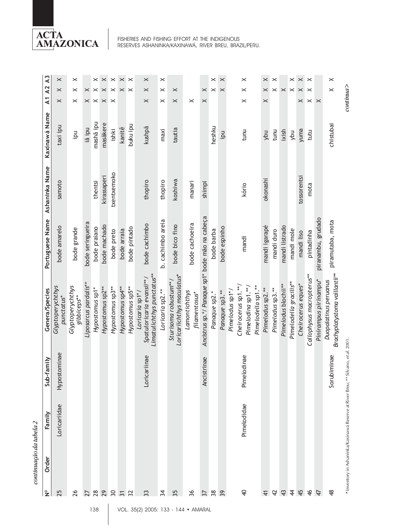| J       |
|---------|
| Ş       |
|         |
|         |
|         |
| ŀ.<br>٦ |
|         |
| ì       |
| ŋ       |
|         |
|         |
|         |
|         |
|         |
|         |

**ACTA<br>AMAZONICA** 

|                    | $\times$                       | $\boldsymbol{\times}$           |                       | $\times$              |                       | $\times$ $\times$     | $\boldsymbol{\times}$ | $\times$         | $\times$                                                                   | $\times$          |                                                     |                                |                                                 | $\times$              | $\times$       | $\times$                                                                           | $\times$         | $\boldsymbol{\times}$ |                       | $\times$               | $\boldsymbol{\times}$ | $\boldsymbol{\times}$     |                       | $\times$                                               |
|--------------------|--------------------------------|---------------------------------|-----------------------|-----------------------|-----------------------|-----------------------|-----------------------|------------------|----------------------------------------------------------------------------|-------------------|-----------------------------------------------------|--------------------------------|-------------------------------------------------|-----------------------|----------------|------------------------------------------------------------------------------------|------------------|-----------------------|-----------------------|------------------------|-----------------------|---------------------------|-----------------------|--------------------------------------------------------|
| A1 A2 A3           | $\times$                       | $\times$                        | $\times$              | $\pmb{\times}$        | $\times$              | $\boldsymbol{\times}$ | $\times$ $\times$     |                  | $\times$                                                                   | $\times$          | $\times$                                            |                                | $\times$                                        | $\boldsymbol{\times}$ | $\times$       | $\times$                                                                           | $\times$         | $\boldsymbol{\times}$ | $\boldsymbol{\times}$ | $\times$               | $\boldsymbol{\times}$ | $\times$                  |                       | $\times$                                               |
|                    | $\times$                       | $\times$                        | $\times$              | $\boldsymbol{\times}$ | $\boldsymbol{\times}$ | $\times$              |                       |                  | $\times$                                                                   | $\times$          | $\times$                                            | $\times$                       | $\times$                                        |                       |                | $\pmb{\times}$                                                                     | $\times$         |                       |                       |                        | $\times$              | $\boldsymbol{\times}$     | $\times$              |                                                        |
| Kaxinawá Name      | taxi ipu                       | uqi                             | iå ipu                | mashã ipu             | masäkere              | ishki                 | kanitê                | buku ipu         | kushpã                                                                     | maxi              | tautia                                              |                                |                                                 | heshku                | ipu            | tunu                                                                               | ybu              | tunu                  | ixish                 | ybu                    | yuma                  | tutu                      |                       | chistubai                                              |
| Ashaninka Name     | samoto                         |                                 |                       | thentsi               | kirassaperi           | txentxemoko           |                       |                  | thopiro                                                                    | thopiro           | koshiwa                                             | manari                         | shimpi                                          |                       |                | kório                                                                              | okonashi         |                       |                       |                        | tossorentsi           | mota                      |                       |                                                        |
| Portuguese Name    | bode amarelo                   | bode grande                     | bode seringueira      | bode praiano          | bode machado          | bode preto            | bode arraia           | bode pintado     | bode cachimbo                                                              | b. cachimbo areia | bode bico fino                                      | bode cachoeira                 |                                                 | bode barba            | bode espinho   | mandi                                                                              | mandi igarapé    | mandi duro            | mandi listrado        | mandi mole             | mandi liso            | pintadinha                | piranambu, grudado    | piramutaba, mota                                       |
| Genera/Species     | Glyptoperychthys<br>punctatus* | Glyptoperychthys<br>gibbiceps** | Liposarcus pardalis** | Hypostomus sp1*       | Hypostomus sp2**      | Hypostomus sp3**      | Hypostomus sp4**      | Hypostomus sp5** | Limatulichthys punctatus**<br>Spatuloricaria evansii**/<br>Loricaria sp1*/ | Loricaria sp2.**  | Loricariichthys maculatus*<br>Sturisoma robustum**/ | Lamontichthys<br>filamentosus* | Ancistrus sp.*/ Panaque sp1* bode mão na cabeça | Panaque sp2.*         | Panaque sp3.** | Cheirocerus sp1.**/<br>Pimelodella sp1.**<br>Pimelodina sp1.**/<br>Pimelodus sp1*/ | Pimelodus sp2.** | Pimelodus sp3.**      | Pimelodus blochii**   | Pimelodella gracilis** | Cheirocerus eques*    | Callophysus macropterus** | Pinirampus pirinampu* | Brachyplatystoma vaillantii**<br>Duopalatinus peruanus |
| Sub-family         | Hypostominae                   |                                 |                       |                       |                       |                       |                       |                  | Loricariinae                                                               |                   |                                                     |                                | Ancistrinae                                     |                       |                | Pimelodinae                                                                        |                  |                       |                       |                        |                       |                           |                       | Sorubiminae                                            |
| Family             | Loricariidae                   |                                 |                       |                       |                       |                       |                       |                  |                                                                            |                   |                                                     |                                |                                                 |                       |                | Pimelodidae                                                                        |                  |                       |                       |                        |                       |                           |                       |                                                        |
| Order              |                                |                                 |                       |                       |                       |                       |                       |                  |                                                                            |                   |                                                     |                                |                                                 |                       |                |                                                                                    |                  |                       |                       |                        |                       |                           |                       |                                                        |
| $\mathsf{\hat{z}}$ | 25                             | 26                              |                       |                       |                       | 282852                |                       |                  | 33                                                                         | $\frac{1}{2}$     | 35                                                  | 36                             |                                                 | 378                   |                | $\Delta$                                                                           | $\frac{1}{2}$    | 3 3 4 5 4             |                       |                        |                       |                           | $\ddot{t}$            | $\frac{8}{4}$                                          |

## FISHERIES AND FISHING EFFORT AT THE INDIGENOUS<br>RESERVES ASHANINKA/KAXINAWÁ, RIVER BREU, BRAZIL/PERU.

138

VOL. 35(2) 2005: 133 - 144 · AMARAL

\* Inventory in Ashaninka/Kaxinawá Reserve at River Breu; \*\*\* Silvano, et al. 2001.

 $continuous$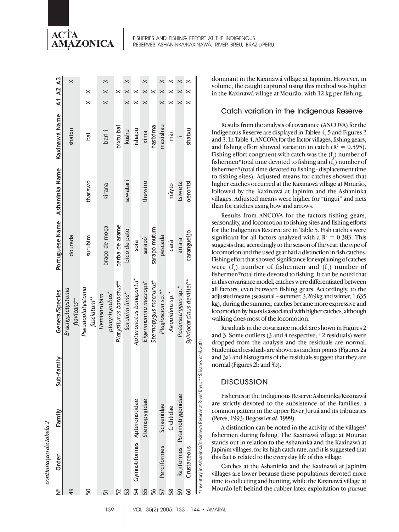

FISHERIES AND FISHING EFFORT AT THE INDIGENOUS RESERVES ASHANINKA/KAXINAWÁ, RIVER BREU, BRAZIL/PERU.

|                         | $\overline{A}3$               | $\times$                        |                                 | $\times$                      |                         | $\times$      |                                                                  | $\times$             |                       |                   | $\times$ $\times$ $\times$ $\times$ |                   |                           | dominant in the Kaxinawá village at Japinim. However, in<br>volume, the caught captured using this method was higher                                                                                                                                                                                                                                                                                                                                                                                                              |
|-------------------------|-------------------------------|---------------------------------|---------------------------------|-------------------------------|-------------------------|---------------|------------------------------------------------------------------|----------------------|-----------------------|-------------------|-------------------------------------|-------------------|---------------------------|-----------------------------------------------------------------------------------------------------------------------------------------------------------------------------------------------------------------------------------------------------------------------------------------------------------------------------------------------------------------------------------------------------------------------------------------------------------------------------------------------------------------------------------|
|                         | $\lambda$ 2                   |                                 | $\times$                        | $\times$                      |                         |               | $\times \times \times \times \times \times \times \times \times$ |                      |                       |                   |                                     |                   |                           | in the Kaxinawá village at Mourão, with 12 kg per fishing.                                                                                                                                                                                                                                                                                                                                                                                                                                                                        |
|                         | $\overline{\phantom{0}}$<br>⋖ |                                 | $\boldsymbol{\times}$           | $\times$                      |                         |               | $\times$ $\times$ $\times$                                       |                      |                       |                   | $\times$ $\times$ $\times$          |                   |                           | Catch variation in the Indigenous Reserve                                                                                                                                                                                                                                                                                                                                                                                                                                                                                         |
|                         | Kaxinawá Name                 | shatxu                          | bai                             | bari i                        | bixtu bai               | kushu         | ishapu                                                           | xima                 | hasixima              | maxishau          | mãi                                 |                   | shatxu                    | Results from the analysis of covariance (ANCOVA) for the<br>Indigenous Reserve are displayed in Tables 4, 5 and Figures 2<br>and 3. In Table 4, ANCOVA for the factor villages, fishing gears,<br>and fishing effort showed variation in catch ( $R^2 = 0.595$ ).<br>Fishing effort congruent with catch was the $(f_2)$ number of<br>fishermen*total time devoted to fishing and $(f_{\alpha})$ number of                                                                                                                        |
|                         | Ashaninka Name                |                                 | tharawo                         | kirana                        |                         | sawatari      |                                                                  | thewiro              |                       |                   | mâyto                               | tsiweta           | perontsi                  | fishermen*(total time devoted to fishing - displacement time<br>to fishing sites). Adjusted means for catches showed that<br>higher catches occurred at the Kaxinawá village at Mourão,<br>followed by the Kaxinawá at Japinim and the Ashaninka<br>villages. Adjusted means were higher for "tingui" and nets<br>than for catches using bow and arrows.                                                                                                                                                                          |
|                         | Portuguese Name               | dourada                         | surubim                         | braço de moça                 | barba de arame          | bico de pato  | soia                                                             | sarapó               | sarapó mutum          | pescada           | cará                                | arraia            | carangueijo               | Results from ANCOVA for the factors fishing gears,<br>seasonality, and locomotion to fishing sites and fishing efforts<br>for the Indigenous Reserve are in Table 5. Fish catches were<br>significant for all factors analyzed with a $R^2 = 0.383$ . This<br>suggests that, accordingly to the season of the year, the type of<br>locomotion and the used gear had a distinction in fish catches.<br>Fishing effort that showed significance for explaining of catches<br>were $(f_1)$ number of fishermen and $(f_2)$ number of |
|                         | Genera/Species                | Brachyplatystoma<br>flavicans** | Pseudoplatystoma<br>fasciatum** | platyrhynchus*<br>Hemisorubim | Platysilurus barbatus** | Sorubim lima* | Apteronotus bonapartii*                                          | Eigenmannia macrops* | Sternopygus macrurus* | Plagioscion sp.** | Aequidens sp.*                      | Potamotrygon sp.* | Sylviocarcinus devillei** | fishermen*total time devoted to fishing. It can be noted that<br>in this covariance model, catches were differentiated between<br>all factors, even between fishing gears. Accordingly, to the<br>adjusted means (seasonal – summer, 3,269kg and winter, 1,635<br>kg), during the summer, catches became more expressive and<br>locomotion by boats is associated with higher catches, although<br>walking does most of the locomotion.<br>Residuals in the covariance model are shown in Figures 2                               |
|                         | -family                       |                                 |                                 |                               |                         |               |                                                                  |                      |                       |                   |                                     |                   |                           | and 3. Some outliers (3 and 4 respective; $3$ 2 residuals) were<br>Silvano, et al. 2001.<br>dropped from the analysis and the residuals are normal.<br>Studentized residuals are shown as random points (Figures 2a<br>and 3a) and histograms of the residuals suggest that they are<br>normal (Figures 2b and 3b).                                                                                                                                                                                                               |
|                         | Sub                           |                                 |                                 |                               |                         |               |                                                                  |                      |                       |                   |                                     |                   |                           | <b>DISCUSSION</b>                                                                                                                                                                                                                                                                                                                                                                                                                                                                                                                 |
|                         | Family                        |                                 |                                 |                               |                         |               | Apteronotidae                                                    | Sternopygidae        |                       | Sciaenidae        | Cichlidae                           | Potamotrygonidae  |                           | * Inventory in Ashaninka/Kaxinawá Reserve at River Breu; **<br>Fisheries at the Indigenous Reserve Ashaninka/Kaxinawá<br>are strictly devoted to the subsistence of the families, a<br>common pattern in the upper River Juruá and its tributaries<br>(Peres, 1993; Begossi et al. 1999)<br>A distinction can be noted in the activity of the villages'                                                                                                                                                                           |
| continuação da tabela 2 | Order                         |                                 |                                 |                               |                         |               | Gymnotiformes                                                    |                      |                       | Perciformes       |                                     | Rajiformes        | Crustaceous               | fishermen during fishing. The Kaxinawá village at Mourão<br>stands out in relation to the Ashaninka and the Kaxinawá at<br>Japinim villages, for its high catch rate, and it is suggested that<br>this fact is related to the every day life of this village.                                                                                                                                                                                                                                                                     |
|                         |                               |                                 |                                 |                               |                         |               |                                                                  |                      |                       |                   |                                     |                   |                           | Catches at the Ashaninka and the Kaxinawá at Japinim<br>villages are lower because these populations devoted more<br>time to collecting and hunting, while the Kaxinawá village at                                                                                                                                                                                                                                                                                                                                                |
|                         | $\frac{1}{2}$                 | $\frac{6}{7}$                   | 50                              | 51                            |                         |               | 233585889                                                        |                      |                       |                   |                                     |                   |                           | Mourão left behind the rubber latex exploitation to pursue                                                                                                                                                                                                                                                                                                                                                                                                                                                                        |
|                         |                               |                                 |                                 |                               |                         |               |                                                                  |                      |                       |                   |                                     |                   |                           |                                                                                                                                                                                                                                                                                                                                                                                                                                                                                                                                   |

#### Catch variation in the Indigenous Reserve

#### **DISCUSSION**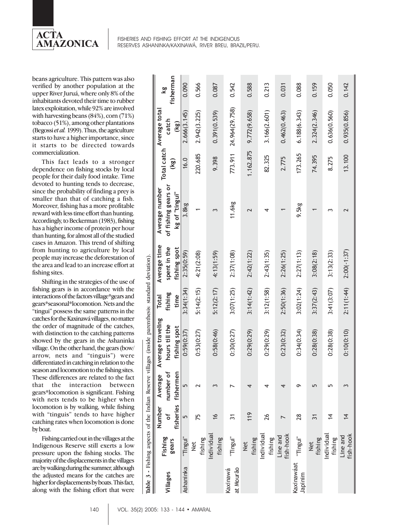

FISHERIES AND FISHING EFFORT AT THE INDIGENOUS RESERVES ASHANINKA/KAXINAWÁ, RIVER BREU, BRAZIL/PERU.

beans agriculture. This pattern was also verified by another population at the upper River Juruá, where only 8% of the inhabitants devoted their time to rubber latex exploitation, while 92% are involved with harvesting beans (84%), corn (71%) tobacco (51%), among other plantations (Begossi *et al.* 1999). Thus, the agriculture starts to have a higher importance, since it starts to be directed towards commercialization.

This fact leads to a stronger dependence on fishing stocks by local people for their daily food intake. Time devoted to hunting tends to decrease, since the probability of finding a prey is smaller than that of catching a fish. Moreover, fishing has a more profitable reward with less time effort than hunting. Accordingly, to Beckerman (1983), fishing has a higher income of protein per hour than hunting, for almost all of the studied cases in Amazon. This trend of shifting from hunting to agriculture by local people may increase the deforestation of the area and lead to an increase effort at fishing sites.

Shifting in the strategies of the use of fishing gears is in accordance with the interactions of the factors village\*gears and gears\*seasonal\*locomotion. Nets and the "tingui" possess the same patterns in the catches for the Kaxinawá villages, no matter the order of magnitude of the catches, with distinction to the catching patterns showed by the gears in the Ashaninka village. On the other hand, the gears (bow/ arrow, nets and "tinguis") were differentiated in catching in relation to the season and locomotion to the fishing sites. These differences are related to the fact that the interaction between gears\*locomotion is significant. Fishing with nets tends to be higher when locomotion is by walking, while fishing with "tinguis" tends to have higher catching rates when locomotion is done by boat.

Fishing carried out in the villages at the Indigenous Reserve still exerts a low pressure upon the fishing stocks. The majority of the displacements in the villages are by walking during the summer, although the adjusted means for the catches are higher for displacements by boats. This fact, along with the fishing effort that were

|                                                                                                    | fisherman<br>kg                                         | 0.090        | 0.566          | 0.087                | 0.542                 | 0.588          | 0.213                 | 0.031                 | 0.088                 | 0.159          | 0.050                 | 0.142                 |
|----------------------------------------------------------------------------------------------------|---------------------------------------------------------|--------------|----------------|----------------------|-----------------------|----------------|-----------------------|-----------------------|-----------------------|----------------|-----------------------|-----------------------|
|                                                                                                    | Average tota<br>catch<br>(kg)                           | 2.666(3.145) | 2.942(3.225)   | 0.391(0.539)         | 24.964(29.758)        | 9.772(9.658)   | 3.166(2.601)          | 0.462(0.463)          | 6.188(6.343)          | 2.324(2.346)   | 0.636(0.560)          | 0.935(0.856)          |
|                                                                                                    | <b>Total catch</b><br>$\overline{(\mathsf{kg})}$        | 16.0         | 220.685        | 9.398                | 773.911               | 1.162.875      | 82.325                | 2.775                 | 173.265               | 74.395         | 8.275                 | 13.100                |
|                                                                                                    | of fishing gears or<br>Average number<br>kg of "tingui" | 3.8kg        |                | 3                    | 11.6kg                | $\sim$         | 4                     |                       | 9.5kg                 |                |                       |                       |
|                                                                                                    | Average time<br>spent in the<br>fishing spot            | 2:35(0:59)   | 4:21(2:08)     | 4:13(1:59)           | 2:37(1:08)            | 2:42(1:22)     | 2:43(1:35)            | 2:26(1:25)            | 2:27(1:13)            | 3:08(2:18)     | 3:13(2:33)            | $2:00(-1:37)$         |
|                                                                                                    | fishing<br>time<br><b>Total</b>                         | 3:34(1:34)   | 5:14(2:15)     | 5:12(2:17)           | 3:07(1:25)            | 3:14(1:42)     | 3:12(1:58)            | 2:50(1:36)            | 3:02(1:24)            | 3:37(2:43)     | 3:41(3:07)            | 2:11(1:44)            |
| Table 3 - Fishing aspects of the Indian Reserve villages (inside parenthesis: standard deviation). | Average traveling<br>hours till the<br>fishing spot     | 0:59(0:37)   | 0:53(0:27)     | 0:58(0:46)           | 0:30(0:27)            | 0:29(0:29)     | 0:29(0:29)            | 0:23(0:32)            | 0:34(0:34)            | 0:28(0:38)     | 0:28(0:38)            | 0:10(0:10)            |
|                                                                                                    | fishermen<br>৳<br>Average<br>number                     | 5            | $\sim$         |                      |                       |                |                       |                       |                       | 5              | 5                     |                       |
|                                                                                                    | fisheries<br>Number<br>ŏ                                | 5            | 75             | $\widetilde{e}$      | $\overline{5}$        | 119            | 26                    |                       | 28                    | $\overline{5}$ | $\overline{4}$        | $\overline{4}$        |
|                                                                                                    | Fishing<br>gears                                        | "Tingui"     | fishing<br>Net | Individua<br>fishing | "Tingui"              | fishing<br>Net | Individual<br>fishing | fish-hook<br>Line and | "Tingui"              | fishing<br>Net | Individual<br>fishing | fish-hook<br>Line and |
|                                                                                                    | Villages                                                | Ashaninka    |                |                      | at Mourão<br>Kaxinawá |                |                       |                       | Kaxinawáat<br>Japinim |                |                       |                       |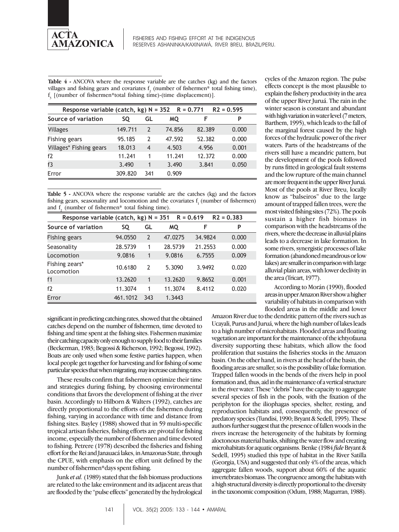

**Table 4 -** ANCOVA where the response variable are the catches (kg) and the factors villages and fishing gears and covariates  $f_2$  (number of fishermen\* total fishing time),  $f_{3}$  [(number of fishermen\*total fishing time)-(time displacement)].

| Response variable (catch, kg) $N = 352$ $R = 0.771$ |           |               |        |        | $R2 = 0.595$ |
|-----------------------------------------------------|-----------|---------------|--------|--------|--------------|
| Source of variation                                 | <b>SQ</b> | GL            | МQ     | F      | P            |
| <b>Villages</b>                                     | 149.711   | $\mathcal{P}$ | 74.856 | 82.389 | 0.000        |
| Fishing gears                                       | 95.185    | 2             | 47.592 | 52.382 | 0.000        |
| Villages* Fishing gears                             | 18.013    | 4             | 4.503  | 4.956  | 0.001        |
| f2                                                  | 11.241    |               | 11.241 | 12.372 | 0.000        |
| f3                                                  | 3.490     | 1             | 3.490  | 3.841  | 0.050        |
| Error                                               | 309.820   | 341           | 0.909  |        |              |

**Table 5 -** ANCOVA where the response variable are the catches (kg) and the factors fishing gears, seasonality and locomotion and the covariates  $f_1$  (number of fishermen) and  $f_2$  (number of fishermen\* total fishing time).

| Response variable (catch, kg) $N = 351$ |          |                | $R = 0.619$ |         | $R2 = 0.383$ |
|-----------------------------------------|----------|----------------|-------------|---------|--------------|
| Source of variation                     | SQ       | GL             | ΜQ          | F       | P            |
| Fishing gears                           | 94.0550  | $\overline{2}$ | 47.0275     | 34.9824 | 0.000        |
| Seasonality                             | 28.5739  | 1              | 28.5739     | 21.2553 | 0.000        |
| Locomotion                              | 9.0816   | 1              | 9.0816      | 6.7555  | 0.009        |
| Fishing zears*<br>Locomotion            | 10.6180  | 2              | 5.3090      | 3.9492  | 0.020        |
| f1                                      | 13.2620  | 1              | 13.2620     | 9.8652  | 0.001        |
| f2                                      | 11.3074  | 1              | 11.3074     | 8.4112  | 0.020        |
| Error                                   | 461.1012 | 343            | 1.3443      |         |              |

significant in predicting catching rates, showed that the obtained catches depend on the number of fishermen, time devoted to fishing and time spent at the fishing sites. Fishermen maximize their catching capacity only enough to supply food to their families (Beckerman, 1983; Begossi & Richerson, 1992; Begossi, 1992). Boats are only used when some festive parties happen, when local people get together for harvesting and for fishing of some particular species that when migrating, may increase catching rates.

These results confirm that fishermen optimize their time and strategies during fishing, by choosing environmental conditions that favors the development of fishing at the river basin. Accordingly to Hilborn & Walters (1992), catches are directly proportional to the efforts of the fishermen during fishing, varying in accordance with time and distance from fishing sites. Bayley (1988) showed that in 59 multi-specific tropical artisan fisheries, fishing efforts are pivotal for fishing income, especially the number of fishermen and time devoted to fishing. Petrere (1978) described the fisheries and fishing effort for the Rei and Janauacá lakes, in Amazonas State, through the CPUE, with emphasis on the effort unit defined by the number of fishermen\*days spent fishing.

Junk *et al.* (1989) stated that the fish biomass productions are related to the lake environment and its adjacent areas that are flooded by the "pulse effects" generated by the hydrological

cycles of the Amazon region. The pulse effects concept is the most plausible to explain the fishery productivity in the area of the upper River Juruá. The rain in the winter season is constant and abundant with high variation in water level (7 meters, Barthem, 1995), which leads to the fall of the marginal forest caused by the high forces of the hydraulic power of the river waters. Parts of the headstreams of the rivers still have a meandric pattern, but the development of the pools followed by runs fitted in geological fault systems and the low rupture of the main channel are more frequent in the upper River Juruá. Most of the pools at River Breu, locally know as "balseiros" due to the large amount of trapped fallen trees, were the most visited fishing sites (72%). The pools sustain a higher fish biomass in comparison with the headstreams of the rivers, where the decrease in alluvial plains leads to a decrease in lake formation. In some rivers, synergistic processes of lake formation (abandoned meandrous or low lakes) are smaller in comparison with large alluvial plain areas, with lower declivity in the area (Tricart, 1977).

According to Morán (1990), flooded areas in upper Amazon River show a higher variability of habitats in comparison with flooded areas in the middle and lower

Amazon River due to the dendritic pattern of the rivers such as Ucayali, Purus and Juruá, where the high number of lakes leads to a high number of microhabitats. Flooded areas and floating vegetation are important for the maintenance of the ichtyofauna diversity supporting these habitats, which allow the food proliferation that sustains the fisheries stocks in the Amazon basin. On the other hand, in rivers at the head of the basin, the flooding areas are smaller, so is the possibility of lake formation. Trapped fallen woods in the bends of the rivers help in pool formation and, thus, aid in the maintenance of a vertical structure in the river water. These "debris" have the capacity to aggregate several species of fish in the pools, with the fixation of the periphyton for the iliophagas species, shelter, resting, and reproduction habitats and, consequently, the presence of predatory species (Tundisi, 1990; Bryant & Sedell, 1995). These authors further suggest that the presence of fallen woods in the rivers increase the heterogeneity of the habitats by forming aloctonous material banks, shifting the water flow and creating microhabitats for aquatic organisms. Benke (1984 *fide* Bryant & Sedell, 1995) studied this type of habitat in the River Satilla (Georgia, USA) and suggested that only 4% of the areas, which aggregate fallen woods, support about 60% of the aquatic invertebrates biomass. The congruence among the habitats with a high structural diversity is directly proportional to the diversity in the taxonomic composition (Odum, 1988; Magurran, 1988).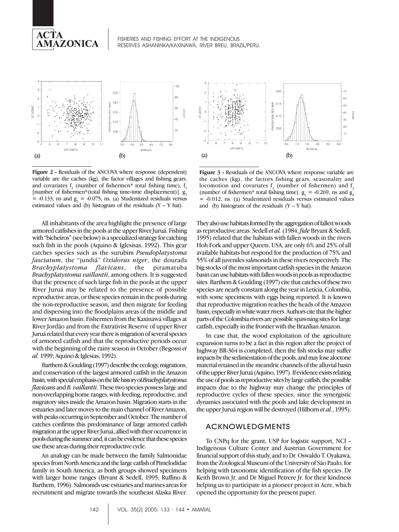



**Figure 2 -** Residuals of the ANCOVA where response (dependent) variable are the caches (kg), the factor villages and fishing gears, and covariates  $f_2$  (number of fishermen\* total fishing time),  $f_3$ [number of fishermen\*(total fishing time-time displacement)].  $g_1$  $= -0.133$ , ns and  $g<sub>2</sub> = -0.075$ , ns. (a) Studentized residuals versus estimated values and (b) histogram of the residuals  $(Y - Y)$  hat).

All inhabitants of the area highlight the presence of large armored catfishes in the pools at the upper River Juruá. Fishing with "bicheiros" (see below) is a specialized strategy for catching such fish in the pools (Aquino & Iglesisas, 1992). This gear catches species such as the surubim *Pseudoplatystoma fasciatum*, the "jundiá" *Oxidoras niger*, the dourada *Brachyplatystoma flavicans*, the piramatuba *Brachyplatystoma vaillantii*, among others. It is suggested that the presence of such large fish in the pools at the upper River Juruá may be related to the presence of possible reproductive areas, or these species remain in the pools during the non-reproductive season, and then migrate for feeding and dispersing into the floodplains areas of the middle and lower Amazon basin. Fishermen from the Kaxinawá villages at River Jordão and from the Extrativist Reserve of upper River Juruá related that every year there is migration of several species of armored catfish and that the reproductive periods occur with the beginning of the rainy season in October (Begossi *et al.* 1999; Aquino & Iglesias, 1992).

Barthem & Goulding (1997) describe the ecology, migrations, and conservation of the largest armored catfish in the Amazon basin, with special emphasis on the life history of *Brachyplatystoma flavicans* and *B. vaillantii*. These two species possess large and non-overlapping home ranges, with feeding, reproductive, and migratory sites inside the Amazon basin. Migration starts in the estuaries and later moves to the main channel of River Amazon, with peaks occurring in September and October. The number of catches confirms this predominance of large armored catfish migration at the upper River Juruá, allied with their occurrence in pools during the summer and, it can be evidence that these species use these areas during their reproductive cycle.

An analogy can be made between the family Salmonidae species from North America and the large catfish of Pimelodidae family in South America, as both groups showed specimens with larger home ranges (Bryant & Sedell, 1995; Ruffino & Barthem, 1996). Salmonids use estuaries and marines areas for recruitment and migrate towards the southeast Alaska River.



**Figure 3 -** Residuals of the ANCOVA where response variable are the caches (kg), the factors fishing gears, seasonality and locomotion and covariates  $f_1$  (number of fishermen) and  $f_2$ (number of fishermen\* total fishing time).  $g_1 = -0.269$ , ns and  $g_2$ = -0.012, ns. (a) Studentized residuals versus estimated values and (b) histogram of the residuals  $(Y - Y)$  hat).

They also use habitats formed by the aggregation of fallen woods as reproductive areas. Sedell *et al.* (1984, *fide* Bryant & Sedell, 1995) related that the habitats with fallen woods in the rivers Hoh Fork and upper Queets, USA, are only 6% and 25% of all available habitats but respond for the production of 75% and 55% of all juveniles salmonids in these rivers respectively. The big stocks of the most important catfish species in the Amazon basin can use habitats with fallen woods in pools as reproductive sites. Barthem & Goulding (1997) cite that catches of these two species are nearly constant along the year in Letícia, Colombia, with some specimens with eggs being reported. It is known that reproductive migration reaches the heads of the Amazon basin, especially in white water rivers. Authors cite that the higher parts of the Colombia rivers are possible spawning sites for large catfish, especially in the frontier with the Brazilian Amazon.

In case that, the wood exploitation of the agriculture expansion turns to be a fact in this region after the project of highway BR-364 is completed, then the fish stocks may suffer impacts by the sedimentation of the pools, and may lose aloctone material retained in the meandric channels of the alluvial basin of the upper River Juruá (Aquino, 1997). If evidence exists relating the use of pools as reproductive sites by large catfish, the possible impacts due to the highway may change the principles of reproductive cycles of these species, since the synergistic dynamics associated with the pools and lake development in the upper Juruá region will be destroyed (Hilborn *et al.*, 1995).

#### ACKNOWLEDGMENTS

To CNPq for the grant, USP for logistic support, NCI – Indigenous Culture Center and Austrian Government for financial support of this study, and to Dr. Oswaldo T. Oyakawa, from the Zoological Museum of the University of São Paulo, for helping with taxonomic identification of the fish species. Dr Keith Brown Jr. and Dr Miguel Petrere Jr. for their kindness helping us to participate in a pioneer project in Acre, which opened the opportunity for the present paper.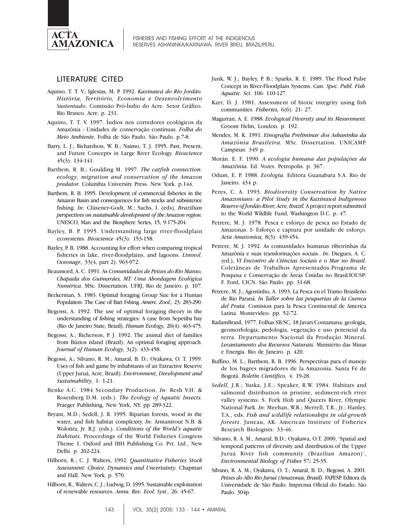

#### LITERATURE CITED

- Aquino, T. T. V.; Iglesias, M. P. 1992. *Kaxinawá do Rio Jordão. História, Território, Economia e Desenvolvimento Sustentado.* Comissão Pró-Índio do Acre. Setor Gráfico. Rio Branco. Acre. p. 231.
- Aquino, T. T. V. 1997. Índios nos corredores ecológicos da Amazônia - Unidades de conservação contínuas. *Folha do Meio Ambiente*. Folha de São Paulo. São Paulo. p.7-8.
- Barry, L. J.; Richardson, W. B.; Naimo, T. J. 1995. Past, Present, and Future Concepts in Large River Ecology. *Bioscience* 45(3): 134-141.
- Barthem, R. B.; Goulding M. 1997. *The catfish connection: ecology, migration and conservation of the Amazon predator.* Columbia University Press. New York. p.144.
- Barthem, R. B. 1995. Development of commercial fisheries in the Amazon Basin and consequences for fish stocks and subsistence fishing. *In*: Clüsener-Godt, M.; Sachs, I. (eds), *Brazilian perspectives on sustainable development of the Amazon region.* UNESCO, Man and the Biosphere Series, 15, 9:175-204.
- Bayley, B. P. 1995. Understanding large river-floodplain ecosystems. *Bioscience* 45(3): 153-158.
- Bayley, P. B. 1988. Accounting for effort when comparing tropical fisheries in lake, river-floodplains, and lagoons. *Limnol. Oceonagr.,* 33(4, part 2): 963-972.
- Beaumord, A. C. 1991. As *Comunidades de Peixes do Rio Manso, Chapada dos Guimarães, MT: Uma Abordagem Ecológica Numérica.* MSc. Dissertation. UFRJ, Rio de Janeiro. p. 107.
- Beckerman, S. 1983. Optimal foraging Group Size for a Human Population: The Case of Bari Fshing. *Amerc. Zool.,* 23: 283-290.
- Begossi, A. 1992. The use of optimal foraging theory in the understanding of fishing strategies: A case from Sepetiba bay (Rio de Janeiro State, Brazil). *Human Ecology,* 20(4): 463-475.
- Begossi, A.; Richerson, P. J. 1992. The animal diet of families from Búzios island (Brazil): An optimal foraging approach. *Journal of Human Ecology,* 3(2): 433-458.
- Begossi, A.; Silvano, R. M.; Amaral, B. D.; Oyakawa, O. T. 1999. Uses of fish and game by inhabitants of an Extractive Reserve (Upper Juruá, Acre, Brazil). *Environment, Development and Sustainability,* 1: 1-21.
- Benke A.C. 1984 Secondary Production. *In:* Resh V.H. & Rosenberg D.M. (eds.). *The Ecology of Aquatic Insects.* Praeger Publishing, New York, NY. pp 289-322.
- Bryant, M.D.; Sedell, J. R. 1995. Riparian forests, wood in the water, and fish habitat complexity. *In*: Armantrout N.B. & Wolotira, Jr. R.J. (eds.). *Conditions of the World's aquatic Habitats.* Proceedings of the World Fisheries Congress Theme 1. Oxford and IBH Publishing Co. Pvt. Ltd., New Delhi. p. 202-224.
- Hilborn, R.; C. J. Walters, 1992. *Quantitative Fisheries Stock Assessment: Choice, Dynamics and Uncertainty.* Chapman and Hall. New York. p. 570.
- Hilborn, R., Walters, C. J.; Ludwig, D. 1995. Sustainable exploitation of renewable resources. *Annu. Rev. Ecol. Syst.,* 26: 45-67.
- Junk, W. J.; Bayley, P. B.; Sparks, R. E. 1989. The Flood Pulse Concept in River-Floodplain Systems. *Can. Spec. Publ. Fish. Aquatic. Sci*. 106: 110-127.
- Karr, D. J. 1981. Assessment of biotic integrity using fish communities. *Fisheries,* 6(6): 21- 27.
- Magurran, A. E. 1988. *Ecological Diversity and its Mesurement.* Groom Helm, London. p. 192.
- Mendes, M. K. 1991. *Etnografia Preliminar dos Ashaninka da Amazônia Brasileira.* MSc. Dissertation. UNICAMP. Campinas. 349 p.
- Morán. E. F. 1990. *A ecologia humana das populações da Amazônia*. Ed. Vozes. Petropolis. p. 367.
- Odum, E. P. 1988. *Ecologia.* Editora Guanabara S.A. Rio de Janeiro. 434 p.
- Peres, C. A. 1993. *Biodiversity Conservation by Native Amazonians: a Pilot Study in the Kaxinawá Indigenous Reserve of Jordão River, Acre, Brazil.* A project report submitted to the World Wildlife Fund, Washington D.C. p. 47.
- Petrere, M. J. 1978. Pesca e esforço de pesca no Estado de Amazonas. I- Esforço e captura por unidade de esforço. *Acta Amazonica,* 8(3): 439-454.
- Petrere, M. J. 1992. As comunidades humanas ribeirinhas da Amazônia e suas transformações sociais*.*. *In*: Diegues, A. C. (ed.), *VI Encontro de Ciências Sociais e o Mar no Brasil.* Coletâneas de Trabalhos Apresentados.Programa de Pesquisa e Conservação de Äreas Úmidas no Brasil/IOUSP/ F. Ford, UICN. São Paulo. pp. 31-68.
- Petrere, M. J.; Agostinho, A. 1993. La Pesca en el Tramo Brasileño de Rio Paraná. *In Taller sobre las pesquerias de la Cuenca del Prata.* Comision para la Pesca Continental de America Latina. Montevideo. pp. 52-72.
- RadamBrasil, 1977. Folhas SB/SC, 18 Javari/Contamana; geologia, geomorfologia, pedologia, vegetação e uso potencial da terra. Departamento Nacional da Produção Mineral. *Levantamento dos Recursos Naturais.* Ministério das Minas e Energia. Rio de Janeiro. p. 420.
- Ruffino, M. L.; Barthem, R. B. 1996. Perspectivas para el manejo de los bagres migradores de la Amazonia. Santa Fé de Bogotá. *Boletin Científico,* 4: 19-28.
- *Sedell,* J.R.; Yuska, J.E.; Speaker, R.W. 1984. Habitats and salmonid distribution in pristine, sediment-rich river valley systems: S. Fork Hoh and Queets River, Olympic National Park. *In*: Meehan, W.R.; Merrell, T.R., Jr.; Hanley, T.A., eds. *Fish and wildlife relationships in old-growth forests*. Juneau, AK: American Institute of Fisheries Research Biologists: 33-46.
- Silvano, R. A. M., Amaral, B.D.; Oyakawa, O.T. 2000, 'Spatial and temporal patterns of diversity and distribution of the Upper Juruá River fish community (Brazilian Amazon)', *Environmental Biology of Fishes* 57**:** 25-35.
- Silvano, R. A. M.; Oyakawa, O. T.; Amaral, B. D.; Begossi, A. 2001. *Peixes do Alto Rio Juruá (Amazonas, Brasil).* FAPESP. Editora da Universidade de São Paulo. Imprensa Oficial do Estado. São Paulo. 304p.